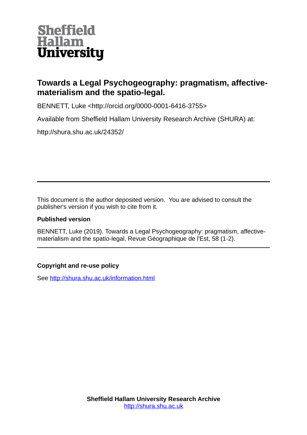

# **Towards a Legal Psychogeography: pragmatism, affectivematerialism and the spatio-legal.**

BENNETT, Luke <http://orcid.org/0000-0001-6416-3755>

Available from Sheffield Hallam University Research Archive (SHURA) at:

http://shura.shu.ac.uk/24352/

This document is the author deposited version. You are advised to consult the publisher's version if you wish to cite from it.

### **Published version**

BENNETT, Luke (2019). Towards a Legal Psychogeography: pragmatism, affectivematerialism and the spatio-legal. Revue Géographique de l'Est, 58 (1-2).

### **Copyright and re-use policy**

See<http://shura.shu.ac.uk/information.html>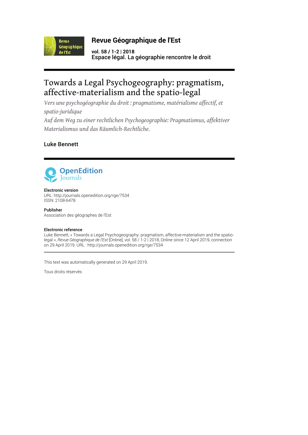

### **Revue Géographique de l'Est**

**vol. 58 / 1-2 | 2018** Espace légal. La géographie rencontre le droit

# Towards a Legal Psychogeography: pragmatism, affective-materialism and the spatio-legal

*Vers une psychogéographie du droit : pragmatisme, matérialisme affectif, et spatio-juridique*

*Auf dem Weg zu einer rechtlichen Psychogeographie: Pragmatismus, affektiver Materialismus und das Räumlich-Rechtliche.*

### Luke Bennett



#### Electronic version

URL:<http://journals.openedition.org/rge/7534> ISSN: 2108-6478

Publisher Association des géographes de l'Est

#### Electronic reference

Luke Bennett, « Towards a Legal Psychogeography: pragmatism, affective-materialism and the spatiolegal », *Revue Géographique de l'Est* [Online], vol. 58 / 1-2 | 2018, Online since 12 April 2019, connection on 29 April 2019. URL : http://journals.openedition.org/rge/7534

This text was automatically generated on 29 April 2019.

Tous droits réservés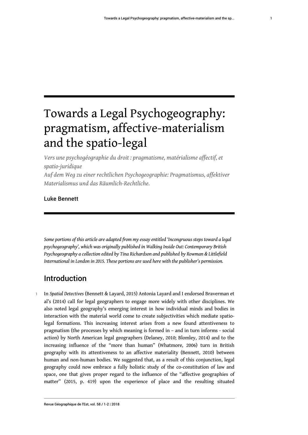# Towards a Legal Psychogeography: pragmatism, affective-materialism and the spatio-legal

*Vers une psychogéographie du droit : pragmatisme, matérialisme affectif, et spatio-juridique*

*Auf dem Weg zu einer rechtlichen Psychogeographie: Pragmatismus, affektiver Materialismus und das Räumlich-Rechtliche.*

### Luke Bennett

*Some portions of this article are adapted from my essay entitled 'Incongruous steps toward a legal psychogeography', which was originally published in Walking Inside Out: Contemporary British Psychogeography a collection edited by Tina Richardson and published by Rowman & Littlefield International in London in 2015. These portions are used here with the publisher's permission.*

### Introduction

<sup>1</sup>In *Spatial Detectives* (Bennett & Layard, 2015) Antonia Layard and I endorsed Braverman et al's (2014) call for legal geographers to engage more widely with other disciplines. We also noted legal geography's emerging interest in how individual minds and bodies in interaction with the material world come to create subjectivities which mediate spatiolegal formations. This increasing interest arises from a new found attentiveness to pragmatism (the processes by which meaning is formed in – and in turn informs - social action) by North American legal geographers (Delaney, 2010; Blomley, 2014) and to the increasing influence of the "more than human" (Whatmore, 2006) turn in British geography with its attentiveness to an affective materiality (Bennett, 2010) between human and non-human bodies. We suggested that, as a result of this conjunction, legal geography could now embrace a fully holistic study of the co-constitution of law and space, one that gives proper regard to the influence of the "affective geographies of matter" (2015, p. 419) upon the experience of place and the resulting situated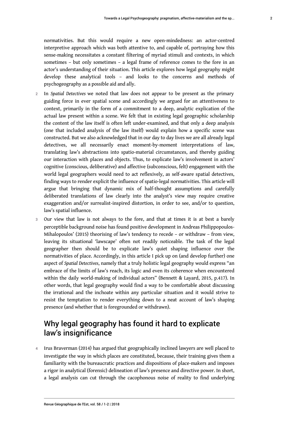develop these analytical tools – and looks to the concerns and methods of

psychogeography as a possible aid and ally.

- <sup>2</sup>In *Spatial Detectives* we noted that law does not appear to be present as the primary guiding force in ever spatial scene and accordingly we argued for an attentiveness to context, primarily in the form of a commitment to a deep, analytic explication of the actual law present within a scene. We felt that in existing legal geographic scholarship the content of the law itself is often left under-examined, and that only a deep analysis (one that included analysis of the law itself) would explain how a specific scene was constructed. But we also acknowledged that in our day to day lives we are all already legal detectives, we all necessarily enact moment-by-moment interpretations of law, translating law's abstractions into spatio-material circumstances, and thereby guiding our interaction with places and objects. Thus, to explicate law's involvement in actors' cognitive (conscious, deliberative) and affective (subconscious, felt) engagement with the world legal geographers would need to act reflexively, as self-aware spatial detectives, finding ways to render explicit the influence of spatio-legal normativities. This article will argue that bringing that dynamic mix of half-thought assumptions and carefully deliberated translations of law clearly into the analyst's view may require creative exaggeration and/or surrealist-inspired distortion, in order to see, and/or to question, law's spatial influence.
- 3 Our view that law is not always to the fore, and that at times it is at best a barely perceptible background noise has found positive development in Andreas Philippopoulos-Mihalopoulos' (2015) theorising of law's tendency to recede – or withdraw – from view, leaving its situational 'lawscape' often not readily noticeable. The task of the legal geographer then should be to explicate law's quiet shaping influence over the normativities of place. Accordingly, in this article I pick up on (and develop further) one aspect of *Spatial Detectives*, namely that a truly holistic legal geography would express "an embrace of the limits of law's reach, its logic and even its coherence when encountered within the daily world-making of individual actors" (Bennett & Layard, 2015, p.417). In other words, that legal geography would find a way to be comfortable about discussing the irrational and the inchoate within any particular situation and it would strive to resist the temptation to render everything down to a neat account of law's shaping presence (and whether that is foregrounded or withdrawn).

### Why legal geography has found it hard to explicate law's insignificance

4 Irus Braverman (2014) has argued that geographically inclined lawyers are well placed to investigate the way in which places are constituted, because, their training gives them a familiarity with the bureaucratic practices and dispositions of place-makers and imposes a rigor in analytical (forensic) delineation of law's presence and directive power. In short, a legal analysis can cut through the cacophonous noise of reality to find underlying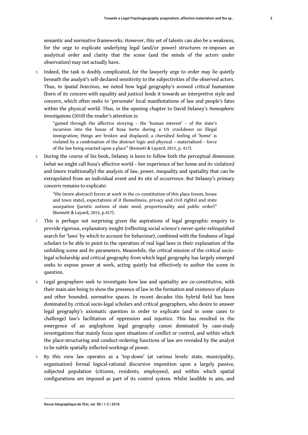semantic and normative frameworks. However, this set of talents can also be a weakness, for the urge to explicate underlying legal (and/or power) structures re-imposes an analytical order and clarity that the scene (and the minds of the actors under observation) may not actually have.

5 Indeed, the task is doubly complicated, for the lawyerly urge to order may lie quietly beneath the analyst's self-declared sensitivity to the subjectivities of the observed actors. Thus, in *Spatial Detectives*, we noted how legal geography's avowed critical humanism (born of its concern with equality and justice) lends it towards an interpretive style and concern, which often seeks to 'personate' local manifestations of law and people's fates within the physical world. Thus, in the opening chapter to David Delaney's *Nomospheric Investigations* (2010) the reader's attention is:

"gained through the affective storying – the 'human interest' – of the state's incursion into the house of Rosa Sorto during a US crackdown on illegal immigration; things are broken and displaced; a cherished feeling of 'home' is violated by a combination of the abstract logic and physical – materialised – force of the law being enacted upon a place" (Bennett & Layard, 2015, p. 417).

6 During the course of his book, Delaney is keen to follow both the perceptual dimension (what we might call Rosa's affective world – her experience of her home and its violation) and (more traditionally) the analysis of law, power, inequality and spatiality that can be extrapolated from an individual event and its site of occurrence. But Delaney's primary concern remains to explicate:

"the (more abstract) forces at work in the co-constitution of this place (room, house and town state), expectations of it (homeliness, privacy and civil rights) and state usurpation (juristic notions of state need, proportionality and public order)" (Bennett & Layard, 2015, p.417).

- 7 This is perhaps not surprising given the aspirations of legal geographic enquiry to provide rigorous, explanatory insight (reflecting social science's never-quite-relinquished search for 'laws' by which to account for behaviour), combined with the fondness of legal scholars to be able to point to the operation of real *legal* laws in their explanation of the unfolding scene and its parameters. Meanwhile, the critical mission of the critical sociolegal scholarship and critical geography from which legal geography has largely emerged seeks to expose power at work, acting quietly but effectively to author the scene in question.
- 8 Legal geographers seek to investigate how law and spatiality are co-constitutive, with their main aim being to show the presence of law in the formation and existence of places and other bounded, normative spaces. In recent decades this hybrid field has been dominated by critical socio-legal scholars and critical geographers, who desire to answer legal geography's axiomatic question in order to explicate (and in some cases to challenge) law's facilitation of oppression and injustice. This has resulted in the emergence of an anglophone legal geography canon dominated by case-study investigations that mainly focus upon situations of conflict or control, and within which the place-structuring and conduct-ordering functions of law are revealed by the analyst to be subtle spatially inflected workings of power.
- 9 By this view law operates as a 'top-down' (at various levels: state, municipality, organisation) formal logical-rational discursive imposition upon a largely passive, subjected population (citizens, residents, employees), and within which spatial configurations are imposed as part of its control system. Whilst laudible in aim, and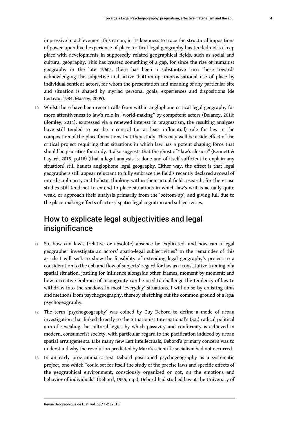impressive in achievement this canon, in its keenness to trace the structural impositions of power upon lived experience of place, critical legal geography has tended not to keep place with developments in supposedly related geographical fields, such as social and cultural geography. This has created something of a gap, for since the rise of humanist geography in the late 1960s, there has been a substantive turn there towards acknowledging the subjective and active 'bottom-up' improvisational use of place by individual sentient actors, for whom the presentation and meaning of any particular site and situation is shaped by myriad personal goals, experiences and dispositions (de Certeau, 1984; Massey, 2005).

10 Whilst there have been recent calls from within anglophone critical legal geography for more attentiveness to law's role in "world-making" by competent actors (Delaney, 2010; Blomley, 2014), expressed via a renewed interest in pragmatism, the resulting analyses have still tended to ascribe a central (or at least influential) role for law in the composition of the place formations that they study. This may well be a side effect of the critical project requiring that situations in which law has a potent shaping force that should be priorities for study. It also suggests that the ghost of "law's closure" (Bennett & Layard, 2015, p.418) (that a legal analysis is alone and of itself sufficient to explain any situation) still haunts anglophone legal geography. Either way, the effect is that legal geographers still appear reluctant to fully embrace the field's recently declared avowal of interdisciplinarity and holistic thinking within their actual field research, for their case studies still tend not to extend to place situations in which law's writ is actually quite weak, or approach their analysis primarily from the 'bottom-up', and giving full due to the place-making effects of actors' spatio-legal cognition and subjectivities.

## How to explicate legal subjectivities and legal insignificance

- 11 So, how can law's (relative or absolute) absence be explicated, and how can a legal geographer investigate an actors' spatio-legal subjectivities? In the remainder of this article I will seek to show the feasibility of extending legal geography's project to a consideration to the ebb and flow of subjects' regard for law as a constitutive framing of a spatial situation, jostling for influence alongside other frames, moment by moment; and how a creative embrace of incongruity can be used to challenge the tendency of law to withdraw into the shadows in most 'everyday' situations. I will do so by enlisting aims and methods from psychogeography, thereby sketching out the common ground of a *legal* psychogeography.
- 12 The term 'psychogeography' was coined by Guy Debord to define a mode of urban investigation that linked directly to the Situationist International's (S.I.) radical political aim of revealing the cultural logics by which passivity and conformity is achieved in modern, consumerist society, with particular regard to the pacification induced by urban spatial arrangements. Like many new Left intellectuals, Debord's primary concern was to understand why the revolution predicted by Marx's scientific socialism had not occurred.
- 13 In an early programmatic text Debord positioned psychogeography as a systematic project, one which "could set for itself the study of the precise laws and specific effects of the geographical environment, consciously organized or not, on the emotions and behavior of individuals" (Debord, 1955, n.p.). Debord had studied law at the University of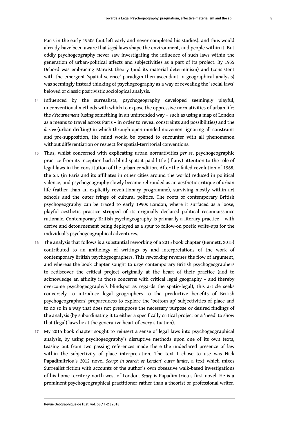Paris in the early 1950s (but left early and never completed his studies), and thus would already have been aware that *legal* laws shape the environment, and people within it. But oddly psychogeography never saw investigating the influence of such laws within the generation of urban-political affects and subjectivities as a part of its project. By 1955 Debord was embracing Marxist theory (and its material determinism) and (consistent with the emergent 'spatial science' paradigm then ascendant in geographical analysis) was seemingly instead thinking of psychogeography as a way of revealing the 'social laws' beloved of classic positivistic sociological analysis.

- 14 Influenced by the surrealists, psychogeography developed seemingly playful, unconventional methods with which to expose the oppressive normativities of urban life: the *détournement* (using something in an unintended way – such as using a map of London as a means to travel across Paris – in order to reveal constraints and possibilities) and the *derive* (urban drifting) in which through open-minded movement ignoring all constraint and pre-supposition, the mind would be opened to encounter with all phenomenon without differentiation or respect for spatial-territorial conventions.
- <sup>15</sup>Thus, whilst concerned with explicating urban normativities *per se*, psychogeographic practice from its inception had a blind spot: it paid little (if any) attention to the role of legal laws in the constitution of the urban condition. After the failed revolution of 1968, the S.I. (in Paris and its affiliates in other cities around the world) reduced in political valence, and psychogeography slowly became rebranded as an aesthetic critique of urban life (rather than an explicitly revolutionary programme), surviving mostly within art schools and the outer fringe of cultural politics. The roots of contemporary British psychogeography can be traced to early 1990s London, where it surfaced as a loose, playful aesthetic practice stripped of its originally declared political reconnaissance rationale. Contemporary British psychogeography is primarily a literary practice – with derive and detournement being deployed as a spur to follow-on poetic write-ups for the individual's psychogeographical adventures.
- 16 The analysis that follows is a substantial reworking of a 2015 book chapter (Bennett, 2015) contributed to an anthology of writings by and interpretations of the work of contemporary British psychogeographers. This reworking reverses the flow of argument, and whereas the book chapter sought to urge contemporary British psychogeographers to rediscover the critical project originally at the heart of their practice (and to acknowledge an affinity in those concerns with critical legal geography – and thereby overcome psychogeography's blindspot as regards the spatio-legal), this article seeks conversely to introduce legal geographers to the productive benefits of British psychogeographers' preparedness to explore the 'bottom-up' subjectivities of place and to do so in a way that does not presuppose the necessary purpose or desired findings of the analysis (by subordinating it to either a specifically critical project or a 'need' to show that (legal) laws lie at the generative heart of every situation).
- 17 My 2015 book chapter sought to reinsert a sense of legal laws into psychogeographical analysis, by using psychogeography's disruptive methods upon one of its own texts, teasing out from two passing references made there the undeclared presence of law within the subjectivity of place interpretation. The text I chose to use was Nick Papadimitriou's 2012 novel *Scarp: in search of London' outer limits*, a text which mixes Surrealist fiction with accounts of the author's own obsessive walk-based investigations of his home territory north west of London. *Scarp* is Papadimitriou's first novel. He is a prominent psychogeographical practitioner rather than a theorist or professional writer.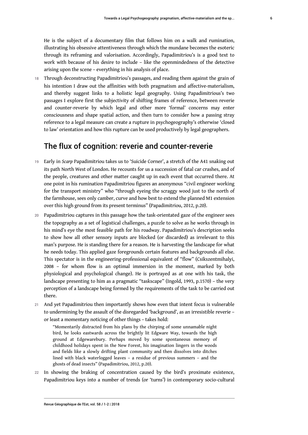He is the subject of a documentary film that follows him on a walk and rumination, illustrating his obsessive attentiveness through which the mundane becomes the esoteric through its reframing and valorisation. Accordingly, Papadimitriou's is a good text to work with because of his desire to include – like the openmindedness of the detective arising upon the scene – everything in his analysis of place.

18 Through deconstructing Papadimitriou's passages, and reading them against the grain of his intention I draw out the affinities with both pragmatism and affective-materialism, and thereby suggest links to a holistic legal geography. Using Papadimitrious's two passages I explore first the subjectivity of shifting frames of reference, between reverie and counter-reverie by which legal and other more 'formal' concerns may enter consciousness and shape spatial action, and then turn to consider how a passing stray reference to a legal measure can create a rupture in psychogeography's otherwise 'closed to law' orientation and how this rupture can be used productively by legal geographers.

### The flux of cognition: reverie and counter-reverie

- <sup>19</sup>Early in *Scarp* Papadimitriou takes us to 'Suicide Corner', a stretch of the A41 snaking out its path North West of London. He recounts for us a succession of fatal car crashes, and of the people, creatures and other matter caught up in each event that occurred there. At one point in his rumination Papadimitriou figures an anonymous "civil engineer working for the transport ministry" who "through eyeing the scraggy wood just to the north of the farmhouse, sees only camber, curve and how best to extend the planned M1 extension over this high ground from its present terminus" (Papadimitriou, 2012, p.20).
- 20 Papadimitriou captures in this passage how the task-orientated gaze of the engineer sees the topography as a set of logistical challenges, a puzzle to solve as he works through in his mind's eye the most feasible path for his roadway. Papadimitriou's description seeks to show how all other sensory inputs are blocked (or discarded) as irrelevant to this man's purpose. He is standing there for a reason. He is harvesting the landscape for what he needs today. This applied gaze foregrounds certain features and backgrounds all else. This spectator is in the engineering-professional equivalent of "flow" (Csikszentmihalyi, 2008 – for whom flow is an optimal immersion in the moment, marked by both physiological and psychological change). He is portrayed as at one with his task, the landscape presenting to him as a pragmatic "taskscape" (Ingold, 1993, p.1570) – the very perception of a landscape being formed by the requirements of the task to be carried out there.
- 21 And yet Papadimitriou then importantly shows how even that intent focus is vulnerable to undermining by the assault of the disregarded 'background', as an irresistible reverie – or least a momentary noticing of other things – takes hold:

"Momentarily distracted from his plans by the chirping of some unnamable night bird, he looks eastwards across the brightly lit Edgware Way, towards the high ground at Edgewarebury. Perhaps moved by some spontaneous memory of childhood holidays spent in the New Forest, his imagination lingers in the woods and fields like a slowly drifting plant community and then dissolves into ditches lined with black waterlogged leaves – a residue of previous summers – and the ghosts of dead insects" (Papadimitriou, 2012, p.20).

22 In showing the braking of concentration caused by the bird's proximate existence, Papadimitriou keys into a number of trends (or 'turns') in contemporary socio-cultural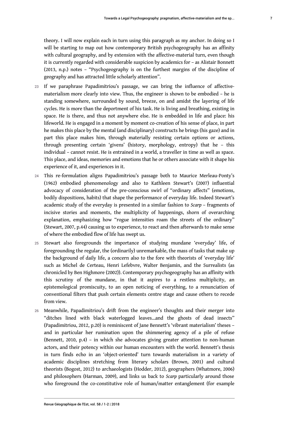theory. I will now explain each in turn using this paragraph as my anchor. In doing so I will be starting to map out how contemporary British psychogeography has an affinity with cultural geography, and by extension with the affective-material turn, even though it is currently regarded with considerable suspicion by academics for – as Alistair Bonnett (2013, n.p.) notes – "Psychogeography is on the furthest margins of the discipline of geography and has attracted little scholarly attention".

- 23 If we paraphrase Papadimitriou's passage, we can bring the influence of affectivematerialism more clearly into view. Thus, the engineer is shown to be embodied – he is standing somewhere, surrounded by sound, breeze, on and amidst the layering of life cycles. He is more than the deportment of his task. He is living and breathing, existing in space. He is there, and thus not anywhere else. He is embedded in life and place: his lifeworld. He is engaged in a moment by moment co-creation of his sense of place, in part he makes this place by the mental (and disciplinary) constructs he brings (his gaze) and in part this place makes him, through materially resisting certain options or actions, through presenting certain 'givens' (history, morphology, entropy) that he – this individual – cannot resist. He is entrained in a world, a traveller in time as well as space. This place, and ideas, memories and emotions that he or others associate with it shape his experience of it, and experiences in it.
- 24 This re-formulation aligns Papadimitriou's passage both to Maurice Merleau-Ponty's (1962) embodied phenomenology and also to Kathleen Stewart's (2007) influential advocacy of consideration of the pre-conscious swirl of "ordinary affects" (emotions, bodily dispositions, habits) that shape the performance of everyday life. Indeed Stewart's academic study of the everyday is presented in a similar fashion to *Scarp* – fragments of incisive stories and moments, the multiplicity of happenings, shorn of overarching explanation, emphasizing how "rogue intensities roam the streets of the ordinary" (Stewart, 2007, p.44) causing us to experience, to react and then afterwards to make sense of where the embodied flow of life has swept us.
- 25 Stewart also foregrounds the importance of studying mundane 'everyday' life, of foregrounding the regular, the (ordinarily) unremarkable, the mass of tasks that make up the background of daily life, a concern also to the fore with theorists of 'everyday life' such as Michel de Certeau, Henri Lefebvre, Walter Benjamin, and the Surrealists (as chronicled by Ben Highmore (2002)). Contemporary psychogeography has an affinity with this scrutiny of the mundane, in that it aspires to a restless multiplicity, an epistemological promiscuity, to an open noticing of everything, to a renunciation of conventional filters that push certain elements centre stage and cause others to recede from view.
- 26 Meanwhile, Papadimitriou's drift from the engineer's thoughts and their merger into "ditches lined with black waterlogged leaves…and the ghosts of dead insects" (Papadimitriou, 2012, p.20) is reminiscent of Jane Bennett's 'vibrant materialism' theses – and in particular her rumination upon the shimmering agency of a pile of refuse (Bennett, 2010, p.4) – in which she advocates giving greater attention to non-human actors, and their potency within our human encounters with the world. Bennett's thesis in turn finds echo in an 'object-oriented' turn towards materialism in a variety of academic disciplines stretching from literary scholars (Brown, 2001) and cultural theorists (Bogost, 2012) to archaeologists (Hodder, 2012), geographers (Whatmore, 2006) and philosophers (Harman, 2009), and links us back to *Scarp* particularly around those who foreground the co-constitutive role of human/matter entanglement (for example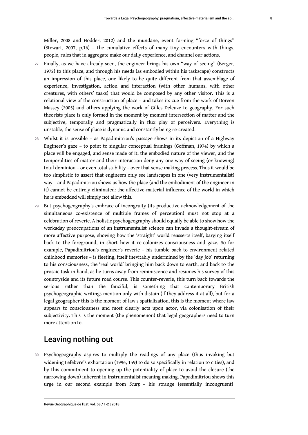Miller, 2008 and Hodder, 2012) and the mundane, event forming "force of things" (Stewart, 2007, p.16) – the cumulative effects of many tiny encounters with things, people, rules that in aggregate make our daily experience, and channel our actions.

- 27 Finally, as we have already seen, the engineer brings his own "way of seeing" (Berger, 1972) to this place, and through his needs (as embodied within his taskscape) constructs an impression of this place, one likely to be quite different from that assemblage of experience, investigation, action and interaction (with other humans, with other creatures, with others' tasks) that would be composed by any other visitor. This is a relational view of the construction of place – and takes its cue from the work of Doreen Massey (2005) and others applying the work of Gilles Deleuze to geography. For such theorists place is only formed in the moment by moment intersection of matter and the subjective, temporally and pragmatically in flux play of perceivers. Everything is unstable, the sense of place is dynamic and constantly being re-created.
- 28 Whilst it is possible as Papadimitriou's passage shows in its depiction of a Highway Engineer's gaze – to point to singular conceptual framings (Goffman, 1974) by which a place will be engaged, and sense made of it, the embodied nature of the viewer, and the temporalities of matter and their interaction deny any one way of seeing (or knowing) total dominion – or even total stability – over that sense making process. Thus it would be too simplistic to assert that engineers only see landscapes in one (very instrumentalist) way – and Papadimitriou shows us how the place (and the embodiment of the engineer in it) cannot be entirely eliminated: the affective-material influence of the world in which he is embedded will simply not allow this.
- 29 But psychogeography's embrace of incongruity (its productive acknowledgement of the simultaneous co-existence of multiple frames of perception) must not stop at a celebration of reverie. A holistic psychogeography should equally be able to show how the workaday preoccupations of an instrumentalist science can invade a thought-stream of more affective purpose, showing how the 'straight' world reasserts itself, barging itself back to the foreground, in short how it re-colonizes consciousness and gaze. So for example, Papadimitriou's engineer's reverie – his tumble back to environment related childhood memories – is fleeting, itself inevitably undermined by the 'day job' returning to his consciousness, the 'real world' bringing him back down to earth, and back to the prosaic task in hand, as he turns away from reminiscence and resumes his survey of this countryside and its future road course. This counter-reverie, this turn back towards the serious rather than the fanciful, is something that contemporary British psychogeographic writings mention only with distain (if they address it at all), but for a legal geographer this is the moment of law's spatialization, this is the moment where law appears to consciousness and most clearly acts upon actor, via colonisation of their subjectivity. This is the moment (the phenomenon) that legal geographers need to turn more attention to.

### Leaving nothing out

30 Psychogeography aspires to multiply the readings of any place (thus invoking but widening Lefebvre's exhortation (1996, 159) to do so specifically in relation to cities), and by this commitment to opening up the potentiality of place to avoid the closure (the narrowing down) inherent in instrumentalist meaning making. Papadimitriou shows this urge in our second example from *Scarp* – his strange (essentially incongruent)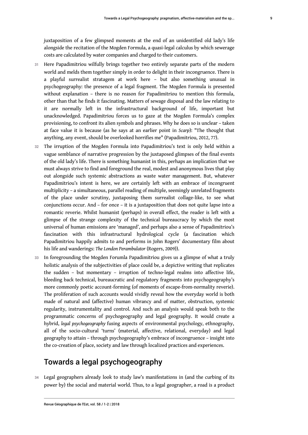juxtaposition of a few glimpsed moments at the end of an unidentified old lady's life alongside the recitation of the Mogden Formula, a quasi-legal calculus by which sewerage costs are calculated by water companies and charged to their customers.

- 31 Here Papadimitriou wilfully brings together two entirely separate parts of the modern world and melds them together simply in order to delight in their incongruence. There is a playful surrealist stratagem at work here – but also something unusual in psychogeography: the presence of a legal fragment. The Mogden Formula is presented without explanation – there is no reason for Papadimitriou to mention this formula, other than that he finds it fascinating. Matters of sewage disposal and the law relating to it are normally left in the infrastructural background of life, important but unacknowledged. Papadimitriou forces us to gaze at the Mogden Formula's complex provisioning, to confront its alien symbols and phrases. Why he does so is unclear – taken at face value it is because (as he says at an earlier point in *Scarp*): "The thought that anything, any event, should be overlooked horrifies me" (Papadimitriou, 2012, 77).
- 32 The irruption of the Mogden Formula into Papadimitriou's text is only held within a vague semblance of narrative progression by the juxtaposed glimpses of the final events of the old lady's life. There is something humanist in this, perhaps an implication that we must always strive to find and foreground the real, modest and anonymous lives that play out alongside such systemic abstractions as waste water management. But, whatever Papadimitriou's intent is here, we are certainly left with an embrace of incongruent multiplicity – a simultaneous, parallel reading of multiple, seemingly unrelated fragments of the place under scrutiny, juxtaposing them surrealist collage-like, to see what conjunctions occur. And – for once – it is a juxtaposition that does not quite lapse into a romantic reverie. Whilst humanist (perhaps) in overall effect, the reader is left with a glimpse of the strange complexity of the technical bureaucracy by which the most universal of human emissions are 'managed', and perhaps also a sense of Papadimitriou's fascination with this infrastructural hydrological cycle (a fascination which Papadimitriou happily admits to and performs in John Rogers' documentary film about his life and wanderings: *The London Perambulator* (Rogers, 2009)).
- 33 In foregrounding the Mogden Forumla Papadimitriou gives us a glimpse of what a truly holistic analysis of the subjectivities of place could be, a depictive writing that replicates the sudden – but momentary – irruption of techno-legal realms into affective life, bleeding back technical, bureaucratic and regulatory fragments into psychogeography's more commonly poetic account-forming (of moments of escape-from-normality reverie). The proliferation of such accounts would vividly reveal how the everyday world is both made of natural and (affective) human vibrancy and of matter, obstruction, systemic regularity, instrumentality and control. And such an analysis would speak both to the programmatic concerns of psychogeography and legal geography. It would create a hybrid, *legal psychogeography* fusing aspects of environmental psychology, ethnography, all of the socio-cultural 'turns' (material, affective, relational, everyday) and legal geography to attain – through psychogeography's embrace of incongruence – insight into the co-creation of place, society and law through localized practices and experiences.

# Towards a legal psychogeography

34 Legal geographers already look to study law's manifestations in (and the curbing of its power by) the social and material world. Thus, to a legal geographer, a road is a product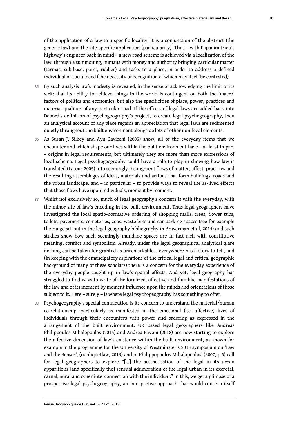of the application of a law to a specific locality. It is a conjunction of the abstract (the generic law) and the site-specific application (particularity). Thus – with Papadimitriou's highway's engineer back in mind – a new road scheme is achieved via a localization of the law, through a summoning, humans with money and authority bringing particular matter (tarmac, sub-base, paint, rubber) and tasks to a place, in order to address a defined individual or social need (the necessity or recognition of which may itself be contested).

- 35 By such analysis law's modesty is revealed, in the sense of acknowledging the limit of its writ: that its ability to achieve things in the world is contingent on both the 'macro' factors of politics and economics, but also the specificities of place, power, practices and material qualities of any particular road. If the effects of legal laws are added back into Debord's definition of psychogeography's project, to create legal psychogeography, then an analytical account of any place regains an appreciation that legal laws are sedimented quietly throughout the built environment alongside lots of other non-legal elements.
- 36 As Susan J. Silbey and Ayn Cavicchi (2005) show, all of the everyday items that we encounter and which shape our lives within the built environment have – at least in part – origins in legal requirements, but ultimately they are more than more expressions of legal schema. Legal psychogeography could have a role to play in showing how law is translated (Latour 2005) into seemingly incongruent flows of matter, affect, practices and the resulting assemblages of ideas, materials and actions that form buildings, roads and the urban landscape, and – in particular – to provide ways to reveal the as-lived effects that those flows have upon individuals, moment by moment.
- 37 Whilst not exclusively so, much of legal geography's concern is with the everyday, with the minor site of law's encoding in the built environment. Thus legal geographers have investigated the local spatio-normative ordering of shopping malls, trees, flower tubs, toilets, pavements, cemeteries, zoos, waste bins and car parking spaces (see for example the range set out in the legal geography bibliography in Braverman et al, 2014) and such studies show how such seemingly mundane spaces are in fact rich with constitutive meaning, conflict and symbolism. Already, under the legal geographical analytical glare nothing can be taken for granted as unremarkable – everywhere has a story to tell, and (in keeping with the emancipatory aspirations of the critical legal and critical geographic background of many of these scholars) there is a concern for the everyday experience of the everyday people caught up in law's spatial effects. And yet, legal geography has struggled to find ways to write of the localized, affective and flux-like manifestations of the law and of its moment by moment influence upon the minds and orientations of those subject to it. Here – surely – is where legal psychogeography has something to offer.
- 38 Psychogeography's special contribution is its concern to understand the material/human co-relationship, particularly as manifested in the emotional (i.e. affective) lives of individuals through their encounters with power and ordering as expressed in the arrangement of the built environment. UK based legal geographers like Andreas Philippoulos-Mihalopoulos (2015) and Andrea Pavoni (2018) are now starting to explore the affective dimension of law's existence within the built environment, as shown for example in the programme for the University of Westminster's 2013 symposium on 'Law and the Senses', (nonliquetlaw, 2013) and in Philippopoulos-Mihalopoulos' (2007, p.5) call for legal geographers to explore "[…] the aesthetisation of the legal in its urban apparitions [and specifically the] sensual adumbration of the legal-urban in its excretal, carnal, aural and other interconnection with the individual." In this, we get a glimpse of a prospective legal psychogeography, an interpretive approach that would concern itself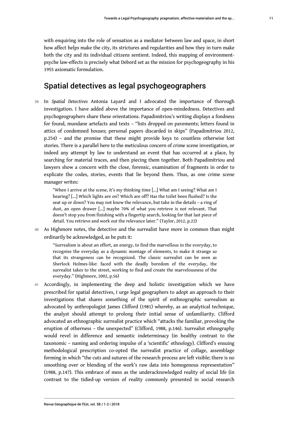### Spatial detectives as legal psychogeographers

1955 axiomatic formulation.

<sup>39</sup>In *Spatial Detectives* Antonia Layard and I advocated the importance of thorough investigation. I have added above the importance of open-mindedness. Detectives and psychogeographers share these orientations. Papadimitriou's writing displays a fondness for found, mundane artefacts and texts – "lists dropped on pavements; letters found in attics of condemned houses; personal papers discarded in skips" (Papadimitriou 2012, p.254) – and the promise that these might provide keys to countless otherwise lost stories. There is a parallel here to the meticulous concern of crime scene investigation, or indeed any attempt by law to understand an event that has occurred at a place, by searching for material traces, and then piecing them together. Both Papadimitriou and lawyers show a concern with the close, forensic, examination of fragments in order to explicate the codes, stories, events that lie beyond them. Thus, as one crime scene manager writes:

"When I arrive at the scene, it's my thinking time […] What am I seeing? What am I hearing? […] Which lights are on? Which are off? Has the toilet been flushed? Is the seat up or down? You may not know the relevance, but take in the details – a ring of dust, an open drawer […] maybe 70% of what you retrieve is not relevant. That doesn't stop you from finishing with a fingertip search, looking for that last piece of detail. You retrieve and work out the relevance later." (Taylor, 2012, p.22)

40 As Highmore notes, the detective and the surrealist have more in common than might ordinarily be acknowledged, as he puts it:

"Surrealism is about an effort, an energy, to find the marvellous in the everyday, to recognise the everyday as a dynamic montage of elements, to make it strange so that its strangeness can be recognized. The classic surrealist can be seen as Sherlock Holmes-like: faced with the deadly boredom of the everyday, the surrealist takes to the street, working to find and create the marvelousness of the everyday." (Highmore, 2002, p.56)

41 Accordingly, in implementing the deep and holistic investigation which we have prescribed for spatial detectives, I urge legal geographers to adopt an approach to their investigations that shares something of the spirit of enthnographic surrealism as advocated by anthropologist James Clifford (1981) whereby, as an analytical technique, the analyst should attempt to prolong their initial sense of unfamiliarity. Clifford advocated an ethnographic surrealist practice which "attacks the familiar, provoking the eruption of otherness – the unexpected" (Clifford, 1988, p.146). Surrealist ethnography would revel in difference and semantic indeterminacy (in healthy contrast to the taxonomic – naming and ordering impulse of a 'scientific' ethnology). Clifford's ensuing methodological prescription co-opted the surrealist practice of collage, assemblage forming in which "the cuts and sutures of the research process are left visible; there is no smoothing over or blending of the work's raw data into homogenous representation" (1988, p.147). This embrace of mess as the underacknowledged reality of social life (in contrast to the tidied-up version of reality commonly presented in social research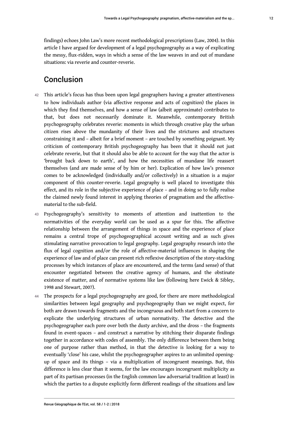findings) echoes John Law's more recent methodological prescriptions (Law, 2004). In this article I have argued for development of a legal psychogeography as a way of explicating the messy, flux-ridden, ways in which a sense of the law weaves in and out of mundane situations: via reverie and counter-reverie.

### Conclusion

- 42 This article's focus has thus been upon legal geographers having a greater attentiveness to how individuals author (via affective response and acts of cognition) the places in which they find themselves, and how a sense of law (albeit approximate) contributes to that, but does not necessarily dominate it. Meanwhile, contemporary British psychogeography celebrates reverie: moments in which through creative play the urban citizen rises above the mundanity of their lives and the strictures and structures constraining it and – albeit for a brief moment – are touched by something poignant. My criticism of contemporary British psychogeography has been that it should not just celebrate reverie, but that it should also be able to account for the way that the actor is 'brought back down to earth', and how the necessities of mundane life reassert themselves (and are made sense of by him or her). Explication of how law's presence comes to be acknowledged (individually and/or collectively) in a situation is a major component of this counter-reverie. Legal geography is well placed to investigate this effect, and its role in the subjective experience of place – and in doing so to fully realise the claimed newly found interest in applying theories of pragmatism and the affectivematerial to the sub-field.
- 43 Psychogeography's sensitivity to moments of attention and inattention to the normativities of the everyday world can be used as a spur for this. The affective relationship between the arrangement of things in space and the experience of place remains a central trope of psychogeographical account writing and as such gives stimulating narrative provocation to legal geography. Legal geography research into the flux of legal cognition and/or the role of affective-material influences in shaping the experience of law and of place can present rich reflexive description of the story-stacking processes by which instances of place are encountered, and the terms (and sense) of that encounter negotiated between the creative agency of humans, and the obstinate existence of matter, and of normative systems like law (following here Ewick & Sibley, 1998 and Stewart, 2007).
- 44 The prospects for a legal psychogeography are good, for there are more methodological similarities between legal geography and psychogeography than we might expect, for both are drawn towards fragments and the incongruous and both start from a concern to explicate the underlying structures of urban normativity. The detective and the psychogeographer each pore over both the dusty archive, and the dross – the fragments found in event-spaces – and construct a narrative by stitching their disparate findings together in accordance with codes of assembly. The only difference between them being one of purpose rather than method, in that the detective is looking for a way to eventually 'close' his case, whilst the psychogeographer aspires to an unlimited openingup of space and its things – via a multiplication of incongruent meanings. But, this difference is less clear than it seems, for the law encourages incongruent multiplicity as part of its partisan processes (in the English common law adversarial tradition at least) in which the parties to a dispute explicitly form different readings of the situations and law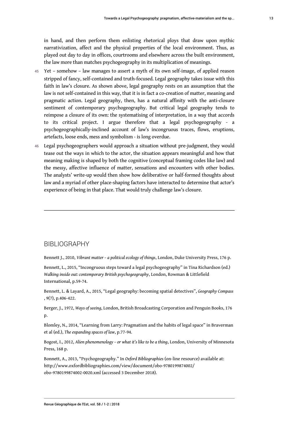in hand, and then perform them enlisting rhetorical ploys that draw upon mythic narrativization, affect and the physical properties of the local environment. Thus, as played out day to day in offices, courtrooms and elsewhere across the built environment, the law more than matches psychogeography in its multiplication of meanings.

- 45 Yet somehow law manages to assert a myth of its own self-image, of applied reason stripped of fancy, self-contained and truth-focused. Legal geography takes issue with this faith in law's closure. As shown above, legal geography rests on an assumption that the law is not self-contained in this way, that it is in fact a co-creation of matter, meaning and pragmatic action. Legal geography, then, has a natural affinity with the anti-closure sentiment of contemporary psychogeography. But critical legal geography tends to reimpose a closure of its own: the systematising of interpretation, in a way that accords to its critical project. I argue therefore that a legal psychogeography - a psychogeographically-inclined account of law's incongruous traces, flows, eruptions, artefacts, loose ends, mess and symbolism - is long overdue.
- 46 Legal psychogeographers would approach a situation without pre-judgment, they would tease out the ways in which to the actor, the situation appears meaningful and how that meaning making is shaped by both the cognitive (conceptual framing codes like law) and the messy, affective influence of matter, sensations and encounters with other bodies. The analysts' write-up would then show how deliberative or half-formed thoughts about law and a myriad of other place-shaping factors have interacted to determine that actor's experience of being in that place. That would truly challenge law's closure.

#### BIBLIOGRAPHY

Bennett J., 2010, *Vibrant matter – a political ecology of things*, London, Duke University Press, 176 p.

Bennett, L., 2015, "Incongruous steps toward a legal psychogeography" in Tina Richardson (ed.) *Walking inside out: contemporary British psychogeography*, London, Rowman & Littlefield International, p.59-74.

Bennett, L. & Layard, A., 2015, "Legal geography: becoming spatial detectives", *Geography Compass* , 9(7), p.406-422.

Berger, J., 1972, *Ways of seeing*, London, British Broadcasting Corporation and Penguin Books, 176 p.

Blomley, N., 2014, "Learning from Larry: Pragmatism and the habits of legal space" in Braverman et al (ed.), *The expanding spaces of law*, p.77-94.

Bogost, I., 2012, *Alien phenomenology – or what it's like to be a thing*, London, University of Minnesota Press, 168 p.

Bonnett, A., 2013, "Psychogeography." In *Oxford Bibliographies* (on-line resource) available at: [http://www.oxfordbibliographies.com/view/document/obo-9780199874002/](http://www.oxfordbibliographies.com/view/document/obo-9780199874002/obo-9780199874002-0020.xml) [obo-9780199874002-0020.xml](http://www.oxfordbibliographies.com/view/document/obo-9780199874002/obo-9780199874002-0020.xml) (accessed 3 December 2018).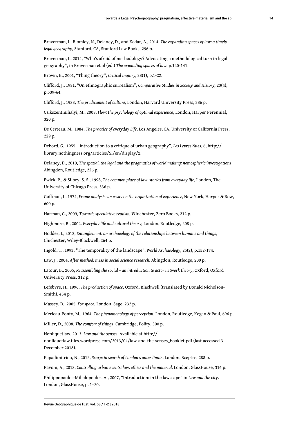Braverman, I., Blomley, N., Delaney, D., and Kedar, A., 2014, *The expanding spaces of law: a timely legal geography*, Stanford, CA, Stanford Law Books, 296 p.

Braverman, I., 2014, "Who's afraid of methodology? Advocating a methodological turn in legal geography", in Braverman et al (ed.) *The expanding spaces of law*, p.120-141.

Brown, B., 2001, "Thing theory", *Critical Inquiry,* 28(1), p.1-22.

Clifford, J., 1981, "On ethnographic surrealism", *Comparative Studies in Society and History,* 23(4), p.539-64.

Clifford, J., 1988, *The predicament of culture,* London, Harvard University Press, 386 p.

Csikszentmihalyi, M., 2008, *Flow: the psychology of optimal experience*, London, Harper Perennial, 320 p.

De Certeau, M., 1984, *The practice of everyday Life,* Los Angeles, CA, University of California Press, 229 p.

Debord, G., 1955, "Introduction to a critique of urban geography", *Les Levres Nues*, 6, [http://](http://library.nothingness.org/articles/SI/en/display/2) [library.nothingness.org/articles/SI/en/display/2](http://library.nothingness.org/articles/SI/en/display/2).

Delaney, D., 2010, *The spatial, the legal and the pragmatics of world making: nomospheric investigations*, Abingdon, Routledge, 226 p.

Ewick, P., & Silbey, S. S., 1998, *The common place of law: stories from everyday life,* London, The University of Chicago Press, 336 p.

Goffman, I., 1974, *Frame analysis: an essay on the organization of experience,* New York, Harper & Row, 600 p.

Harman, G., 2009, *Towards speculative realism,* Winchester, Zero Books, 212 p.

Highmore, B., 2002. *Everyday life and cultural theory,* London, Routledge, 208 p.

Hodder, I., 2012, *Entanglement: an archaeology of the relationships between humans and things*, Chichester, Wiley-Blackwell, 264 p.

Ingold, T., 1993, "The temporality of the landscape", *World Archaeology*, 25(2), p.152-174.

Law, J., 2004, *After method: mess in social science research,* Abingdon, Routledge, 200 p.

Latour, B., 2005, *Reassembling the social – an introduction to actor network theory*, Oxford, Oxford University Press, 312 p.

Lefebvre, H., 1996, *The production of space*, Oxford, Blackwell (translated by Donald Nicholson-Smith), 454 p.

Massey, D., 2005, *For space*, London, Sage, 232 p.

Merleau-Ponty, M., 1964, *The phenomenology of perception*, London, Routledge, Kegan & Paul, 696 p.

Miller, D., 2008, *The comfort of things*, Cambridge, Polity, 300 p.

Nonliquetlaw. 2013. *Law and the senses*. Available at [http://](http://nonliquetlaw.files.wordpress.com/2013/04/law-and-the-senses_booklet.pdf) [nonliquetlaw.files.wordpress.com/2013/04/law-and-the-senses\\_booklet.pdf](http://nonliquetlaw.files.wordpress.com/2013/04/law-and-the-senses_booklet.pdf) (last accessed 3 December 2018).

Papadimitriou, N., 2012, *Scarp: in search of London's outer limits*, London, Sceptre, 288 p.

Pavoni, A., 2018, *Controlling urban events: law, ethics and the material,* London, GlassHouse, 316 p.

Philippopoulos-Mihalopoulos, A., 2007, "Introduction: in the lawscape" in *Law and the city*. London, GlassHouse, p. 1–20.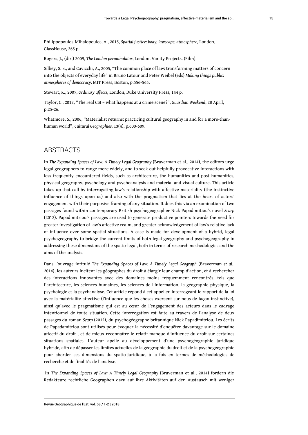Philippopoulos-Mihalopoulos, A., 2015, *Spatial justice: body, lawscape, atmosphere,* London, GlassHouse, 265 p.

Rogers, J., (dir.) 2009, *The London perambulator*, London, Vanity Projects. (Film).

Silbey, S. S., and Cavicchi, A., 2005, "The common place of law: transforming matters of concern into the objects of everyday life" in Bruno Latour and Peter Weibel (eds) *Making things public: atmospheres of democracy,* MIT Press, Boston, p.556-565.

Stewart, K., 2007, *Ordinary affects,* London, Duke University Press, 144 p.

Taylor, C., 2012, "The real CSI – what happens at a crime scene?", *Guardian Weekend*, 28 April, p.25-26.

Whatmore, S., 2006, "Materialist returns: practicing cultural geography in and for a more-thanhuman world", *Cultural Geographies,* 13(4), p.600-609.

#### ABSTRACTS

In *The Expanding Spaces of Law: A Timely Legal Geography* (Braverman et al., 2014), the editors urge legal geographers to range more widely, and to seek out helpfully provocative interactions with less frequently encountered fields, such as architecture, the humanities and post humanities, physical geography, psychology and psychoanalysis and material and visual culture. This article takes up that call by interrogating law's relationship with affective materiality (the instinctive influence of things upon us) and also with the pragmatism that lies at the heart of actors' engagement with their purposive framing of any situation. It does this via an examination of two passages found within contemporary British psychogeographer Nick Papadimitiou's novel *Scarp* (2012). Papadimitriou's passages are used to generate productive pointers towards the need for greater investigation of law's affective realm, and greater acknowledgement of law's relative lack of influence over some spatial situations. A case is made for development of a hybrid, legal psychogeography to bridge the current limits of both legal geography and psychogeography in addressing these dimensions of the spatio-legal, both in terms of research methodologies and the aims of the analysis.

Dans l'ouvrage intitulé *The Expanding Spaces of Law: A Timely Legal Geograph* (Braverman *et al*., 2014), les auteurs incitent les géographes du droit à élargir leur champ d'action, et à rechercher des interactions innovantes avec des domaines moins fréquemment rencontrés, tels que l'architecture, les sciences humaines, les sciences de l'information, la géographie physique, la psychologie et la psychanalyse. Cet article répond à cet appel en interrogeant le rapport de la loi avec la matérialité affective (l'influence que les choses exercent sur nous de façon instinctive), ainsi qu'avec le pragmatisme qui est au cœur de l'engagement des acteurs dans le cadrage intentionnel de toute situation. Cette interrogation est faite au travers de l'analyse de deux passages du roman *Scarp* (2012), du psychogéographe britannique Nick Papadimitriou. Les écrits de Papadamitriou sont utilisés pour évoquer la nécessité d'enquêter davantage sur le domaine affectif du droit , et de mieux reconnaître le relatif manque d'influence du droit sur certaines situations spatiales. L'auteur apelle au développement d'une psychogéographie juridique hybride, afin de dépasser les limites actuelles de la géographie du droit et de la psychogéographie pour aborder ces dimensions du spatio-juridique, à la fois en termes de méthodologies de recherche et de finalités de l'analyse.

 In *The Expanding Spaces of Law: A Timely Legal Geography* (Braverman et al., 2014) fordern die Redakteure rechtliche Geographen dazu auf ihre Aktivitäten auf den Austausch mit weniger